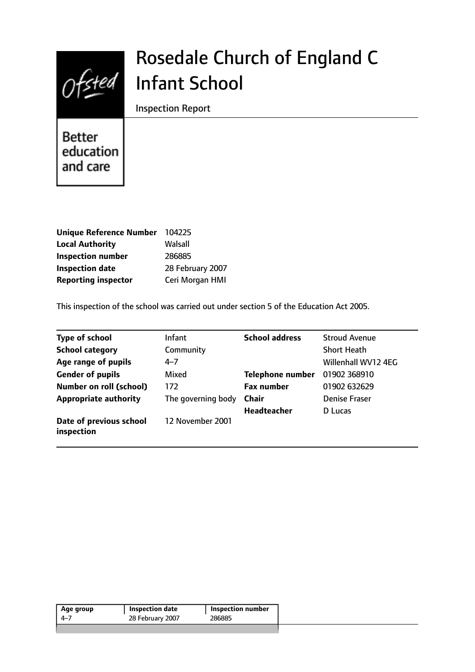

# Rosedale Church of England C Infant School

Inspection Report

**Better** education and care

| Unique Reference Number 104225 |                  |
|--------------------------------|------------------|
| <b>Local Authority</b>         | Walsall          |
| <b>Inspection number</b>       | 286885           |
| <b>Inspection date</b>         | 28 February 2007 |
| <b>Reporting inspector</b>     | Ceri Morgan HMI  |

This inspection of the school was carried out under section 5 of the Education Act 2005.

| <b>Type of school</b>                 | <b>Infant</b>      | <b>School address</b>   | <b>Stroud Avenue</b> |
|---------------------------------------|--------------------|-------------------------|----------------------|
| <b>School category</b>                | Community          |                         | <b>Short Heath</b>   |
| Age range of pupils                   | $4 - 7$            |                         | Willenhall WV12 4EG  |
| <b>Gender of pupils</b>               | Mixed              | <b>Telephone number</b> | 01902 368910         |
| <b>Number on roll (school)</b>        | 172                | <b>Fax number</b>       | 01902 632629         |
| <b>Appropriate authority</b>          | The governing body | Chair                   | <b>Denise Fraser</b> |
|                                       |                    | <b>Headteacher</b>      | D Lucas              |
| Date of previous school<br>inspection | 12 November 2001   |                         |                      |

| 286885<br>4–7 | <b>Inspection number</b> | Inspection date  | Age group |
|---------------|--------------------------|------------------|-----------|
|               |                          | 28 February 2007 |           |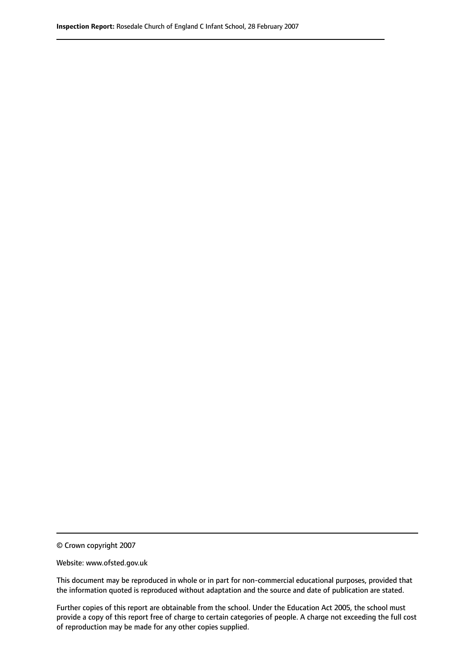© Crown copyright 2007

Website: www.ofsted.gov.uk

This document may be reproduced in whole or in part for non-commercial educational purposes, provided that the information quoted is reproduced without adaptation and the source and date of publication are stated.

Further copies of this report are obtainable from the school. Under the Education Act 2005, the school must provide a copy of this report free of charge to certain categories of people. A charge not exceeding the full cost of reproduction may be made for any other copies supplied.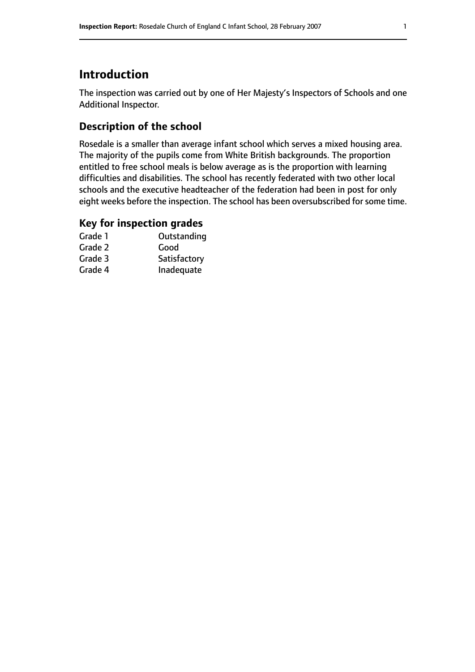# **Introduction**

The inspection was carried out by one of Her Majesty's Inspectors of Schools and one Additional Inspector.

# **Description of the school**

Rosedale is a smaller than average infant school which serves a mixed housing area. The majority of the pupils come from White British backgrounds. The proportion entitled to free school meals is below average as is the proportion with learning difficulties and disabilities. The school has recently federated with two other local schools and the executive headteacher of the federation had been in post for only eight weeks before the inspection. The school has been oversubscribed for some time.

#### **Key for inspection grades**

| Grade 1 | Outstanding  |
|---------|--------------|
| Grade 2 | Good         |
| Grade 3 | Satisfactory |
| Grade 4 | Inadequate   |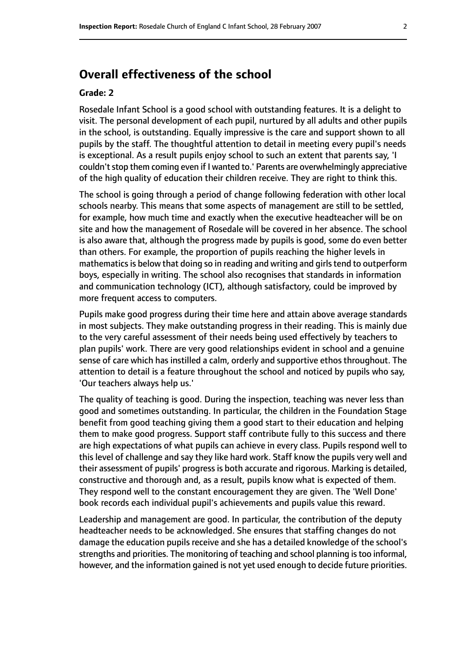# **Overall effectiveness of the school**

#### **Grade: 2**

Rosedale Infant School is a good school with outstanding features. It is a delight to visit. The personal development of each pupil, nurtured by all adults and other pupils in the school, is outstanding. Equally impressive is the care and support shown to all pupils by the staff. The thoughtful attention to detail in meeting every pupil's needs is exceptional. As a result pupils enjoy school to such an extent that parents say, 'I couldn't stop them coming even if I wanted to.' Parents are overwhelmingly appreciative of the high quality of education their children receive. They are right to think this.

The school is going through a period of change following federation with other local schools nearby. This means that some aspects of management are still to be settled, for example, how much time and exactly when the executive headteacher will be on site and how the management of Rosedale will be covered in her absence. The school is also aware that, although the progress made by pupils is good, some do even better than others. For example, the proportion of pupils reaching the higher levels in mathematics is below that doing so in reading and writing and girls tend to outperform boys, especially in writing. The school also recognises that standards in information and communication technology (ICT), although satisfactory, could be improved by more frequent access to computers.

Pupils make good progress during their time here and attain above average standards in most subjects. They make outstanding progress in their reading. This is mainly due to the very careful assessment of their needs being used effectively by teachers to plan pupils' work. There are very good relationships evident in school and a genuine sense of care which has instilled a calm, orderly and supportive ethos throughout. The attention to detail is a feature throughout the school and noticed by pupils who say, 'Our teachers always help us.'

The quality of teaching is good. During the inspection, teaching was never less than good and sometimes outstanding. In particular, the children in the Foundation Stage benefit from good teaching giving them a good start to their education and helping them to make good progress. Support staff contribute fully to this success and there are high expectations of what pupils can achieve in every class. Pupils respond well to this level of challenge and say they like hard work. Staff know the pupils very well and their assessment of pupils' progress is both accurate and rigorous. Marking is detailed, constructive and thorough and, as a result, pupils know what is expected of them. They respond well to the constant encouragement they are given. The 'Well Done' book records each individual pupil's achievements and pupils value this reward.

Leadership and management are good. In particular, the contribution of the deputy headteacher needs to be acknowledged. She ensures that staffing changes do not damage the education pupils receive and she has a detailed knowledge of the school's strengths and priorities. The monitoring of teaching and school planning is too informal, however, and the information gained is not yet used enough to decide future priorities.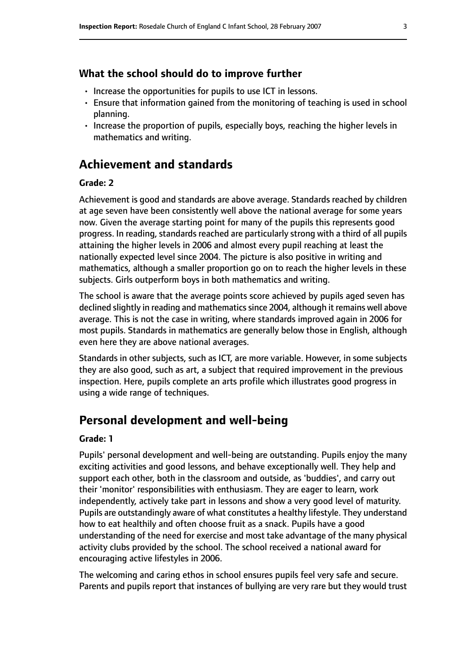#### **What the school should do to improve further**

- Increase the opportunities for pupils to use ICT in lessons.
- Ensure that information gained from the monitoring of teaching is used in school planning.
- Increase the proportion of pupils, especially boys, reaching the higher levels in mathematics and writing.

# **Achievement and standards**

#### **Grade: 2**

Achievement is good and standards are above average. Standards reached by children at age seven have been consistently well above the national average for some years now. Given the average starting point for many of the pupils this represents good progress. In reading, standards reached are particularly strong with a third of all pupils attaining the higher levels in 2006 and almost every pupil reaching at least the nationally expected level since 2004. The picture is also positive in writing and mathematics, although a smaller proportion go on to reach the higher levels in these subjects. Girls outperform boys in both mathematics and writing.

The school is aware that the average points score achieved by pupils aged seven has declined slightly in reading and mathematics since 2004, although it remains well above average. This is not the case in writing, where standards improved again in 2006 for most pupils. Standards in mathematics are generally below those in English, although even here they are above national averages.

Standards in other subjects, such as ICT, are more variable. However, in some subjects they are also good, such as art, a subject that required improvement in the previous inspection. Here, pupils complete an arts profile which illustrates good progress in using a wide range of techniques.

## **Personal development and well-being**

#### **Grade: 1**

Pupils' personal development and well-being are outstanding. Pupils enjoy the many exciting activities and good lessons, and behave exceptionally well. They help and support each other, both in the classroom and outside, as 'buddies', and carry out their 'monitor' responsibilities with enthusiasm. They are eager to learn, work independently, actively take part in lessons and show a very good level of maturity. Pupils are outstandingly aware of what constitutes a healthy lifestyle. They understand how to eat healthily and often choose fruit as a snack. Pupils have a good understanding of the need for exercise and most take advantage of the many physical activity clubs provided by the school. The school received a national award for encouraging active lifestyles in 2006.

The welcoming and caring ethos in school ensures pupils feel very safe and secure. Parents and pupils report that instances of bullying are very rare but they would trust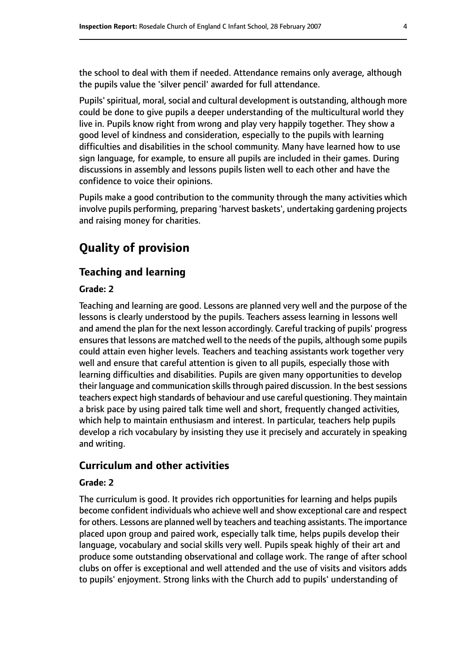the school to deal with them if needed. Attendance remains only average, although the pupils value the 'silver pencil' awarded for full attendance.

Pupils' spiritual, moral, social and cultural development is outstanding, although more could be done to give pupils a deeper understanding of the multicultural world they live in. Pupils know right from wrong and play very happily together. They show a good level of kindness and consideration, especially to the pupils with learning difficulties and disabilities in the school community. Many have learned how to use sign language, for example, to ensure all pupils are included in their games. During discussions in assembly and lessons pupils listen well to each other and have the confidence to voice their opinions.

Pupils make a good contribution to the community through the many activities which involve pupils performing, preparing 'harvest baskets', undertaking gardening projects and raising money for charities.

# **Quality of provision**

## **Teaching and learning**

#### **Grade: 2**

Teaching and learning are good. Lessons are planned very well and the purpose of the lessons is clearly understood by the pupils. Teachers assess learning in lessons well and amend the plan for the next lesson accordingly. Careful tracking of pupils' progress ensures that lessons are matched well to the needs of the pupils, although some pupils could attain even higher levels. Teachers and teaching assistants work together very well and ensure that careful attention is given to all pupils, especially those with learning difficulties and disabilities. Pupils are given many opportunities to develop their language and communication skills through paired discussion. In the best sessions teachers expect high standards of behaviour and use careful questioning. They maintain a brisk pace by using paired talk time well and short, frequently changed activities, which help to maintain enthusiasm and interest. In particular, teachers help pupils develop a rich vocabulary by insisting they use it precisely and accurately in speaking and writing.

#### **Curriculum and other activities**

#### **Grade: 2**

The curriculum is good. It provides rich opportunities for learning and helps pupils become confident individuals who achieve well and show exceptional care and respect for others. Lessons are planned well by teachers and teaching assistants. The importance placed upon group and paired work, especially talk time, helps pupils develop their language, vocabulary and social skills very well. Pupils speak highly of their art and produce some outstanding observational and collage work. The range of after school clubs on offer is exceptional and well attended and the use of visits and visitors adds to pupils' enjoyment. Strong links with the Church add to pupils' understanding of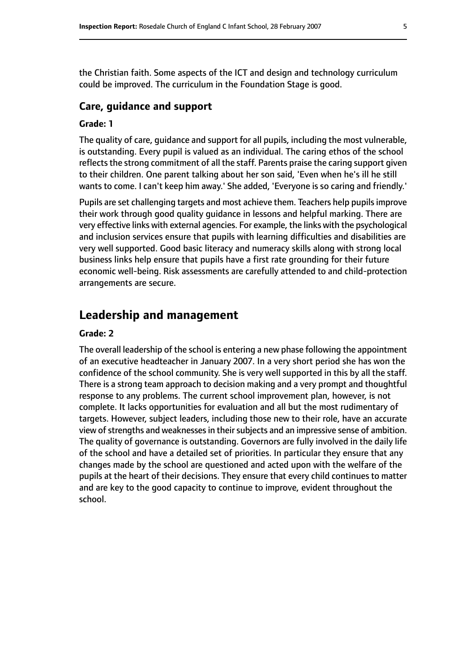the Christian faith. Some aspects of the ICT and design and technology curriculum could be improved. The curriculum in the Foundation Stage is good.

#### **Care, guidance and support**

#### **Grade: 1**

The quality of care, guidance and support for all pupils, including the most vulnerable, is outstanding. Every pupil is valued as an individual. The caring ethos of the school reflects the strong commitment of all the staff. Parents praise the caring support given to their children. One parent talking about her son said, 'Even when he's ill he still wants to come. I can't keep him away.' She added, 'Everyone is so caring and friendly.'

Pupils are set challenging targets and most achieve them. Teachers help pupils improve their work through good quality guidance in lessons and helpful marking. There are very effective links with external agencies. For example, the links with the psychological and inclusion services ensure that pupils with learning difficulties and disabilities are very well supported. Good basic literacy and numeracy skills along with strong local business links help ensure that pupils have a first rate grounding for their future economic well-being. Risk assessments are carefully attended to and child-protection arrangements are secure.

# **Leadership and management**

#### **Grade: 2**

The overall leadership of the school is entering a new phase following the appointment of an executive headteacher in January 2007. In a very short period she has won the confidence of the school community. She is very well supported in this by all the staff. There is a strong team approach to decision making and a very prompt and thoughtful response to any problems. The current school improvement plan, however, is not complete. It lacks opportunities for evaluation and all but the most rudimentary of targets. However, subject leaders, including those new to their role, have an accurate view of strengths and weaknesses in their subjects and an impressive sense of ambition. The quality of governance is outstanding. Governors are fully involved in the daily life of the school and have a detailed set of priorities. In particular they ensure that any changes made by the school are questioned and acted upon with the welfare of the pupils at the heart of their decisions. They ensure that every child continues to matter and are key to the good capacity to continue to improve, evident throughout the school.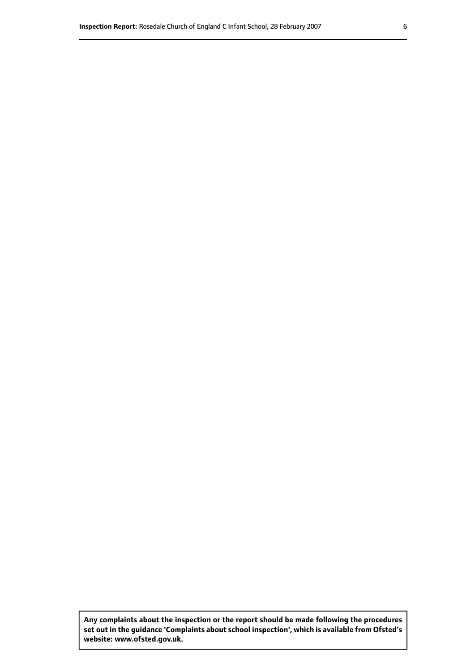**Any complaints about the inspection or the report should be made following the procedures set out inthe guidance 'Complaints about school inspection', whichis available from Ofsted's website: www.ofsted.gov.uk.**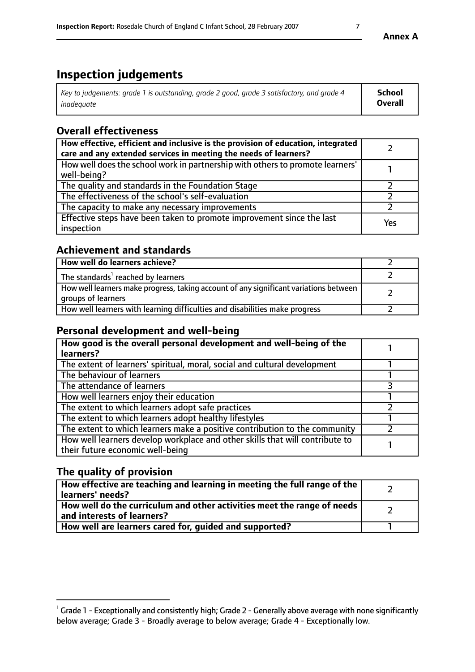# **Inspection judgements**

| Key to judgements: grade 1 is outstanding, grade 2 good, grade 3 satisfactory, and grade 4 | <b>School</b>  |
|--------------------------------------------------------------------------------------------|----------------|
| inadequate                                                                                 | <b>Overall</b> |

# **Overall effectiveness**

| How effective, efficient and inclusive is the provision of education, integrated<br>care and any extended services in meeting the needs of learners? |     |
|------------------------------------------------------------------------------------------------------------------------------------------------------|-----|
| How well does the school work in partnership with others to promote learners'<br>well-being?                                                         |     |
| The quality and standards in the Foundation Stage                                                                                                    |     |
| The effectiveness of the school's self-evaluation                                                                                                    |     |
| The capacity to make any necessary improvements                                                                                                      |     |
| Effective steps have been taken to promote improvement since the last<br>inspection                                                                  | Yes |

## **Achievement and standards**

| How well do learners achieve?                                                                               |  |
|-------------------------------------------------------------------------------------------------------------|--|
| The standards <sup>1</sup> reached by learners                                                              |  |
| How well learners make progress, taking account of any significant variations between<br>groups of learners |  |
| How well learners with learning difficulties and disabilities make progress                                 |  |

## **Personal development and well-being**

| How good is the overall personal development and well-being of the                                               |  |
|------------------------------------------------------------------------------------------------------------------|--|
| learners?                                                                                                        |  |
| The extent of learners' spiritual, moral, social and cultural development                                        |  |
| The behaviour of learners                                                                                        |  |
| The attendance of learners                                                                                       |  |
| How well learners enjoy their education                                                                          |  |
| The extent to which learners adopt safe practices                                                                |  |
| The extent to which learners adopt healthy lifestyles                                                            |  |
| The extent to which learners make a positive contribution to the community                                       |  |
| How well learners develop workplace and other skills that will contribute to<br>their future economic well-being |  |

# **The quality of provision**

| How effective are teaching and learning in meeting the full range of the<br>  learners' needs?                      |  |
|---------------------------------------------------------------------------------------------------------------------|--|
| $\mid$ How well do the curriculum and other activities meet the range of needs<br>$\mid$ and interests of learners? |  |
| How well are learners cared for, guided and supported?                                                              |  |

**Annex A**

 $^1$  Grade 1 - Exceptionally and consistently high; Grade 2 - Generally above average with none significantly below average; Grade 3 - Broadly average to below average; Grade 4 - Exceptionally low.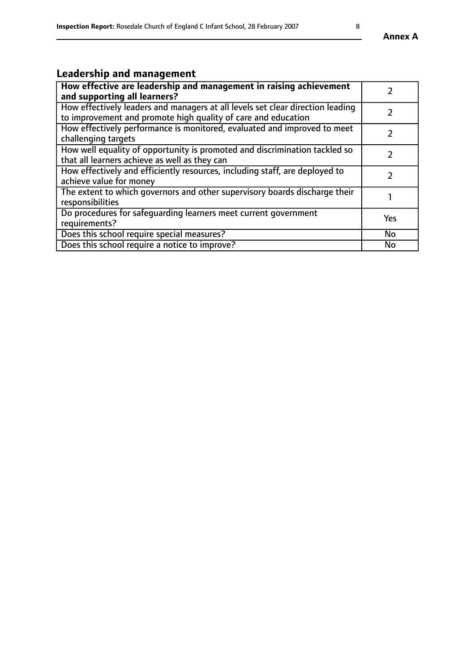# **Leadership and management**

| How effective are leadership and management in raising achievement<br>and supporting all learners?                                              |               |
|-------------------------------------------------------------------------------------------------------------------------------------------------|---------------|
| How effectively leaders and managers at all levels set clear direction leading<br>to improvement and promote high quality of care and education |               |
| How effectively performance is monitored, evaluated and improved to meet<br>challenging targets                                                 |               |
| How well equality of opportunity is promoted and discrimination tackled so<br>that all learners achieve as well as they can                     |               |
| How effectively and efficiently resources, including staff, are deployed to<br>achieve value for money                                          | $\mathcal{P}$ |
| The extent to which governors and other supervisory boards discharge their<br>responsibilities                                                  |               |
| Do procedures for safeguarding learners meet current government<br>requirements?                                                                | <b>Yes</b>    |
| Does this school require special measures?                                                                                                      | <b>No</b>     |
| Does this school require a notice to improve?                                                                                                   | <b>No</b>     |